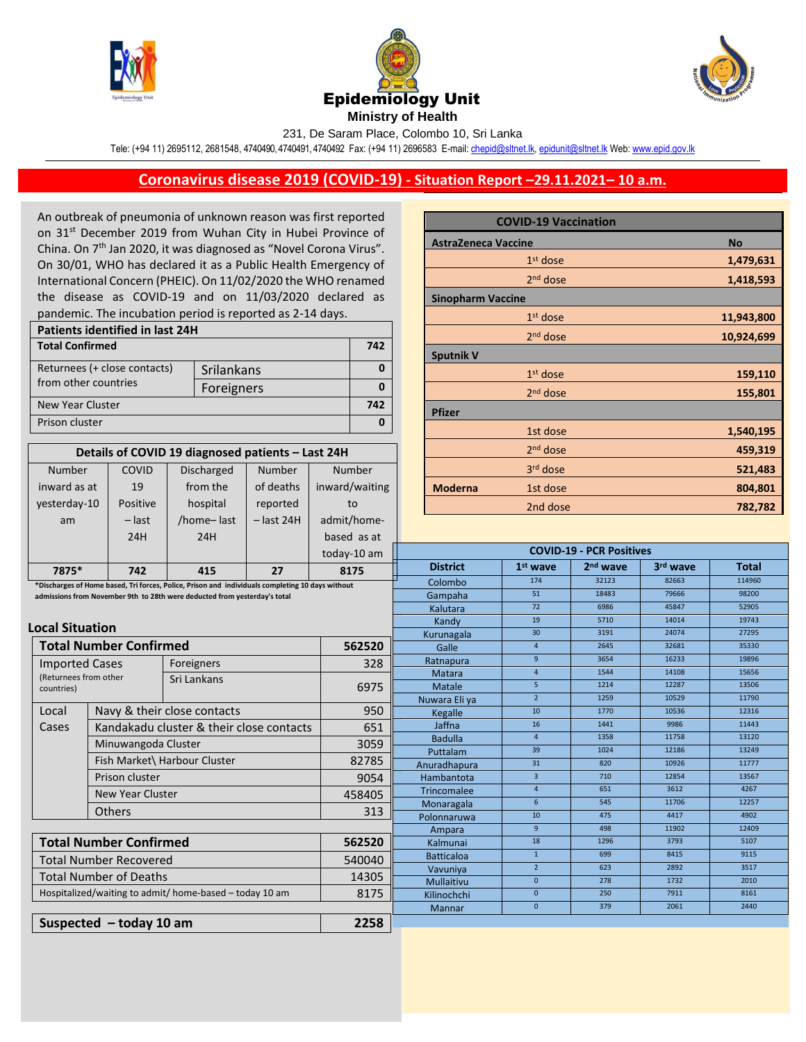





231, De Saram Place, Colombo 10, Sri Lanka

Tele: (+94 11) 2695112, 2681548, 4740490, 4740491, 4740492 Fax: (+94 11) 2696583 E-mail[: chepid@sltnet.lk,](mailto:chepi@sltnet.lk) [epidunit@sltnet.lk](mailto:epidunit@sltnet.lk) Web[: www.epid.gov.lk](http://www.epid.gov.lk/)

## **Coronavirus disease 2019 (COVID-19) - Situation Report –29.11.2021– 10 a.m.**

An outbreak of pneumonia of unknown reason was first reported on 31<sup>st</sup> December 2019 from Wuhan City in Hubei Province of China. On 7<sup>th</sup> Jan 2020, it was diagnosed as "Novel Corona Virus". On 30/01, WHO has declared it as a Public Health Emergency of International Concern (PHEIC). On 11/02/2020 the WHO renamed the disease as COVID-19 and on 11/03/2020 declared as pandemic. The incubation period is reported as 2-14 days.

| Patients identified in last 24H |            |     |
|---------------------------------|------------|-----|
| <b>Total Confirmed</b>          |            | 742 |
| Returnees (+ close contacts)    | Srilankans |     |
| from other countries            | Foreigners |     |
| New Year Cluster                |            | 742 |
| Prison cluster                  |            |     |

| Details of COVID 19 diagnosed patients - Last 24H |          |                   |              |                |  |
|---------------------------------------------------|----------|-------------------|--------------|----------------|--|
| <b>Number</b>                                     | COVID    | <b>Discharged</b> | Number       | Number         |  |
| inward as at                                      | 19       | from the          | of deaths    | inward/waiting |  |
| yesterday-10                                      | Positive | hospital          | reported     | to             |  |
| am                                                | $-$ last | /home-last        | $-$ last 24H | admit/home-    |  |
|                                                   | 24H      | 24H               |              | based as at    |  |
|                                                   |          |                   |              | today-10 am    |  |
| 7875*                                             | 742      | 415               | 77           | 8175           |  |

|                            | <b>COVID-19 Vaccination</b> |  |            |
|----------------------------|-----------------------------|--|------------|
| <b>AstraZeneca Vaccine</b> | <b>No</b>                   |  |            |
|                            | $1st$ dose                  |  | 1,479,631  |
|                            | 2 <sup>nd</sup> dose        |  | 1,418,593  |
| <b>Sinopharm Vaccine</b>   |                             |  |            |
|                            | $1st$ dose                  |  | 11,943,800 |
|                            | 2 <sup>nd</sup> dose        |  | 10,924,699 |
| <b>Sputnik V</b>           |                             |  |            |
|                            | $1st$ dose                  |  | 159,110    |
|                            | 2 <sup>nd</sup> dose        |  | 155,801    |
| <b>Pfizer</b>              |                             |  |            |
|                            | 1st dose                    |  | 1,540,195  |
|                            | 2 <sup>nd</sup> dose        |  | 459,319    |
|                            | 3rd dose                    |  | 521,483    |
| <b>Moderna</b>             | 1st dose                    |  | 804,801    |
|                            | 2nd dose                    |  | 782,782    |

**COVID-19 - PCR Positives**

| 7875*                                                                     | 742                           | 415                                                                                              | 27      | 8175   | <b>District</b>    | $1st$ wave      | 2 <sup>nd</sup> wave | 3rd wave | <b>Total</b> |
|---------------------------------------------------------------------------|-------------------------------|--------------------------------------------------------------------------------------------------|---------|--------|--------------------|-----------------|----------------------|----------|--------------|
|                                                                           |                               | *Discharges of Home based, Tri forces, Police, Prison and individuals completing 10 days without |         |        | Colombo            | 174             | 32123                | 82663    | 114960       |
| admissions from November 9th to 28th were deducted from yesterday's total |                               |                                                                                                  | Gampaha | 51     | 18483              | 79666           | 98200                |          |              |
|                                                                           |                               |                                                                                                  |         |        | Kalutara           | 72              | 6986                 | 45847    | 52905        |
| <b>Local Situation</b>                                                    |                               |                                                                                                  |         |        | Kandy              | 19              | 5710                 | 14014    | 19743        |
|                                                                           |                               |                                                                                                  |         |        | Kurunagala         | 30 <sup>°</sup> | 3191                 | 24074    | 27295        |
|                                                                           | <b>Total Number Confirmed</b> |                                                                                                  |         | 562520 | Galle              | $\overline{4}$  | 2645                 | 32681    | 35330        |
| <b>Imported Cases</b>                                                     |                               | Foreigners                                                                                       |         | 328    | Ratnapura          | 9               | 3654                 | 16233    | 19896        |
| (Returnees from other                                                     |                               | Sri Lankans                                                                                      |         |        | Matara             | $\overline{4}$  | 1544                 | 14108    | 15656        |
| countries)                                                                |                               |                                                                                                  |         | 6975   | Matale             | 5               | 1214                 | 12287    | 13506        |
|                                                                           |                               |                                                                                                  |         |        | Nuwara Eli ya      | $\overline{2}$  | 1259                 | 10529    | 11790        |
| Local                                                                     |                               | Navy & their close contacts                                                                      |         | 950    | Kegalle            | 10              | 1770                 | 10536    | 12316        |
| Cases                                                                     |                               | Kandakadu cluster & their close contacts                                                         |         | 651    | Jaffna             | 16              | 1441                 | 9986     | 11443        |
|                                                                           | Minuwangoda Cluster           |                                                                                                  |         | 3059   | <b>Badulla</b>     | $\overline{4}$  | 1358                 | 11758    | 13120        |
|                                                                           |                               |                                                                                                  |         |        | Puttalam           | 39              | 1024                 | 12186    | 13249        |
|                                                                           |                               | Fish Market\ Harbour Cluster                                                                     |         | 82785  | Anuradhapura       | 31              | 820                  | 10926    | 11777        |
|                                                                           | Prison cluster                |                                                                                                  |         | 9054   | Hambantota         | $\overline{3}$  | 710                  | 12854    | 13567        |
|                                                                           | New Year Cluster              |                                                                                                  |         | 458405 | <b>Trincomalee</b> | $\overline{4}$  | 651                  | 3612     | 4267         |
|                                                                           | <b>Others</b>                 |                                                                                                  |         | 313    | Monaragala         | 6               | 545                  | 11706    | 12257        |
|                                                                           |                               |                                                                                                  |         |        | Polonnaruwa        | 10              | 475                  | 4417     | 4902         |
|                                                                           |                               |                                                                                                  |         |        | Ampara             | 9               | 498                  | 11902    | 12409        |
|                                                                           | <b>Total Number Confirmed</b> |                                                                                                  |         | 562520 | Kalmunai           | 18              | 1296                 | 3793     | 5107         |
|                                                                           | <b>Total Number Recovered</b> |                                                                                                  |         | 540040 | <b>Batticaloa</b>  | $\mathbf{1}$    | 699                  | 8415     | 9115         |
|                                                                           | <b>Total Number of Deaths</b> |                                                                                                  |         | 14305  | Vavuniya           | $\overline{2}$  | 623                  | 2892     | 3517         |
|                                                                           |                               |                                                                                                  |         |        | Mullaitivu         | $\mathbf{0}$    | 278                  | 1732     | 2010         |
|                                                                           |                               | Hospitalized/waiting to admit/ home-based - today 10 am                                          |         | 8175   | Kilinochchi        | $\mathbf{0}$    | 250                  | 7911     | 8161         |
|                                                                           |                               |                                                                                                  |         |        | Mannar             | $\mathbf{0}$    | 379                  | 2061     | 2440         |
|                                                                           | Suspected $-$ today 10 am     |                                                                                                  |         | 2258   |                    |                 |                      |          |              |